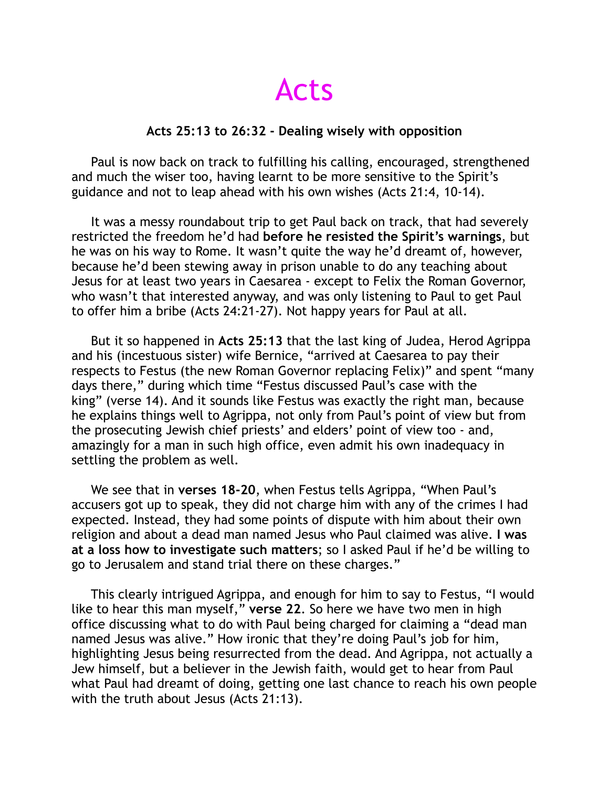Acts

## **Acts 25:13 to 26:32 - Dealing wisely with opposition**

 Paul is now back on track to fulfilling his calling, encouraged, strengthened and much the wiser too, having learnt to be more sensitive to the Spirit's guidance and not to leap ahead with his own wishes (Acts 21:4, 10-14).

 It was a messy roundabout trip to get Paul back on track, that had severely restricted the freedom he'd had **before he resisted the Spirit's warnings**, but he was on his way to Rome. It wasn't quite the way he'd dreamt of, however, because he'd been stewing away in prison unable to do any teaching about Jesus for at least two years in Caesarea - except to Felix the Roman Governor, who wasn't that interested anyway, and was only listening to Paul to get Paul to offer him a bribe (Acts 24:21-27). Not happy years for Paul at all.

 But it so happened in **Acts 25:13** that the last king of Judea, Herod Agrippa and his (incestuous sister) wife Bernice, "arrived at Caesarea to pay their respects to Festus (the new Roman Governor replacing Felix)" and spent "many days there," during which time "Festus discussed Paul's case with the king" (verse 14). And it sounds like Festus was exactly the right man, because he explains things well to Agrippa, not only from Paul's point of view but from the prosecuting Jewish chief priests' and elders' point of view too - and, amazingly for a man in such high office, even admit his own inadequacy in settling the problem as well.

 We see that in **verses 18-20**, when Festus tells Agrippa, "When Paul's accusers got up to speak, they did not charge him with any of the crimes I had expected. Instead, they had some points of dispute with him about their own religion and about a dead man named Jesus who Paul claimed was alive. **I was at a loss how to investigate such matters**; so I asked Paul if he'd be willing to go to Jerusalem and stand trial there on these charges."

 This clearly intrigued Agrippa, and enough for him to say to Festus, "I would like to hear this man myself," **verse 22**. So here we have two men in high office discussing what to do with Paul being charged for claiming a "dead man named Jesus was alive." How ironic that they're doing Paul's job for him, highlighting Jesus being resurrected from the dead. And Agrippa, not actually a Jew himself, but a believer in the Jewish faith, would get to hear from Paul what Paul had dreamt of doing, getting one last chance to reach his own people with the truth about Jesus (Acts 21:13).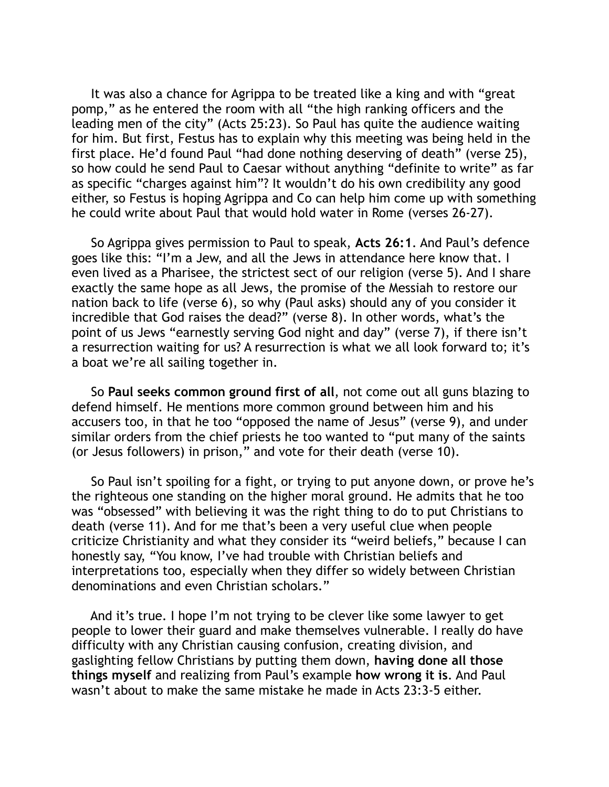It was also a chance for Agrippa to be treated like a king and with "great pomp," as he entered the room with all "the high ranking officers and the leading men of the city" (Acts 25:23). So Paul has quite the audience waiting for him. But first, Festus has to explain why this meeting was being held in the first place. He'd found Paul "had done nothing deserving of death" (verse 25), so how could he send Paul to Caesar without anything "definite to write" as far as specific "charges against him"? It wouldn't do his own credibility any good either, so Festus is hoping Agrippa and Co can help him come up with something he could write about Paul that would hold water in Rome (verses 26-27).

 So Agrippa gives permission to Paul to speak, **Acts 26:1**. And Paul's defence goes like this: "I'm a Jew, and all the Jews in attendance here know that. I even lived as a Pharisee, the strictest sect of our religion (verse 5). And I share exactly the same hope as all Jews, the promise of the Messiah to restore our nation back to life (verse 6), so why (Paul asks) should any of you consider it incredible that God raises the dead?" (verse 8). In other words, what's the point of us Jews "earnestly serving God night and day" (verse 7), if there isn't a resurrection waiting for us? A resurrection is what we all look forward to; it's a boat we're all sailing together in.

 So **Paul seeks common ground first of all**, not come out all guns blazing to defend himself. He mentions more common ground between him and his accusers too, in that he too "opposed the name of Jesus" (verse 9), and under similar orders from the chief priests he too wanted to "put many of the saints (or Jesus followers) in prison," and vote for their death (verse 10).

 So Paul isn't spoiling for a fight, or trying to put anyone down, or prove he's the righteous one standing on the higher moral ground. He admits that he too was "obsessed" with believing it was the right thing to do to put Christians to death (verse 11). And for me that's been a very useful clue when people criticize Christianity and what they consider its "weird beliefs," because I can honestly say, "You know, I've had trouble with Christian beliefs and interpretations too, especially when they differ so widely between Christian denominations and even Christian scholars."

 And it's true. I hope I'm not trying to be clever like some lawyer to get people to lower their guard and make themselves vulnerable. I really do have difficulty with any Christian causing confusion, creating division, and gaslighting fellow Christians by putting them down, **having done all those things myself** and realizing from Paul's example **how wrong it is**. And Paul wasn't about to make the same mistake he made in Acts 23:3-5 either.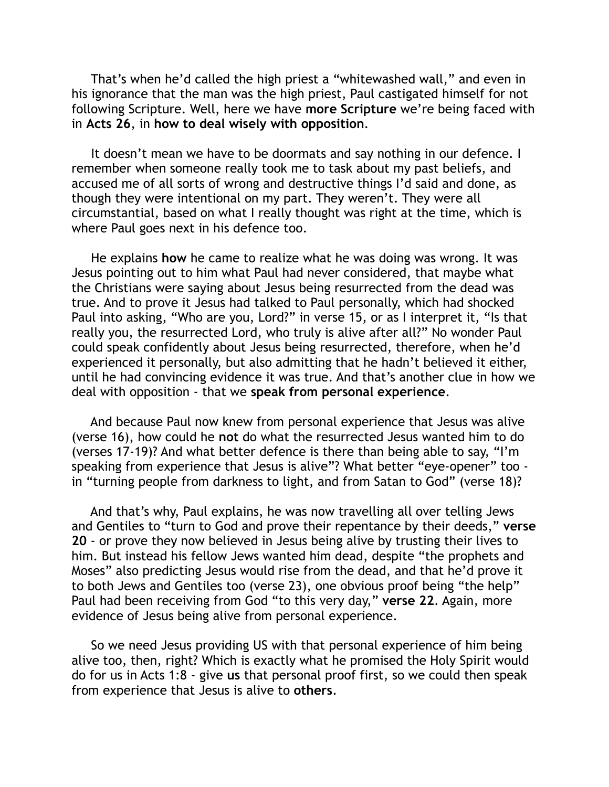That's when he'd called the high priest a "whitewashed wall," and even in his ignorance that the man was the high priest, Paul castigated himself for not following Scripture. Well, here we have **more Scripture** we're being faced with in **Acts 26**, in **how to deal wisely with opposition**.

 It doesn't mean we have to be doormats and say nothing in our defence. I remember when someone really took me to task about my past beliefs, and accused me of all sorts of wrong and destructive things I'd said and done, as though they were intentional on my part. They weren't. They were all circumstantial, based on what I really thought was right at the time, which is where Paul goes next in his defence too.

 He explains **how** he came to realize what he was doing was wrong. It was Jesus pointing out to him what Paul had never considered, that maybe what the Christians were saying about Jesus being resurrected from the dead was true. And to prove it Jesus had talked to Paul personally, which had shocked Paul into asking, "Who are you, Lord?" in verse 15, or as I interpret it, "Is that really you, the resurrected Lord, who truly is alive after all?" No wonder Paul could speak confidently about Jesus being resurrected, therefore, when he'd experienced it personally, but also admitting that he hadn't believed it either, until he had convincing evidence it was true. And that's another clue in how we deal with opposition - that we **speak from personal experience**.

 And because Paul now knew from personal experience that Jesus was alive (verse 16), how could he **not** do what the resurrected Jesus wanted him to do (verses 17-19)? And what better defence is there than being able to say, "I'm speaking from experience that Jesus is alive"? What better "eye-opener" too in "turning people from darkness to light, and from Satan to God" (verse 18)?

 And that's why, Paul explains, he was now travelling all over telling Jews and Gentiles to "turn to God and prove their repentance by their deeds," **verse 20** - or prove they now believed in Jesus being alive by trusting their lives to him. But instead his fellow Jews wanted him dead, despite "the prophets and Moses" also predicting Jesus would rise from the dead, and that he'd prove it to both Jews and Gentiles too (verse 23), one obvious proof being "the help" Paul had been receiving from God "to this very day," **verse 22**. Again, more evidence of Jesus being alive from personal experience.

 So we need Jesus providing US with that personal experience of him being alive too, then, right? Which is exactly what he promised the Holy Spirit would do for us in Acts 1:8 - give **us** that personal proof first, so we could then speak from experience that Jesus is alive to **others**.